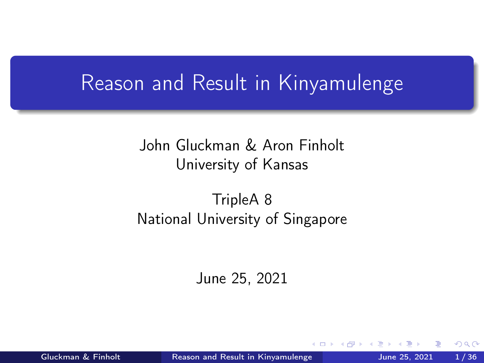## <span id="page-0-0"></span>Reason and Result in Kinyamulenge

#### John Gluckman & Aron Finholt University of Kansas

#### TripleA 8 National University of Singapore

June 25, 2021

Gluckman & Finholt **[Reason and Result in Kinyamulenge](#page-35-0)** June 25, 2021 1/36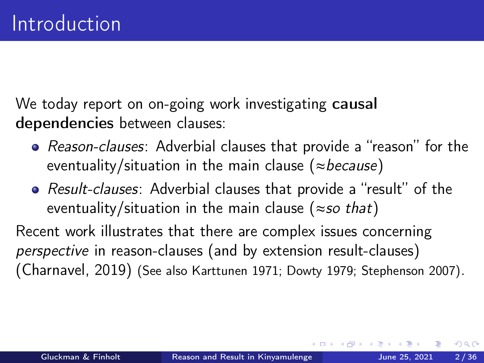<span id="page-1-0"></span>We today report on on-going work investigating causal dependencies between clauses:

- Reason-clauses: Adverbial clauses that provide a "reason" for the eventuality/situation in the main clause ( $\approx$ because)
- Result-clauses: Adverbial clauses that provide a "result" of the eventuality/situation in the main clause ( $\approx$ so that)

Recent work illustrates that there are complex issues concerning perspective in reason-clauses (and by extension result-clauses) [\(Charnavel, 2019\)](#page-34-0) (See also [Karttunen 1971;](#page-34-1) [Dowty 1979;](#page-34-2) [Stephenson 2007\)](#page-35-1).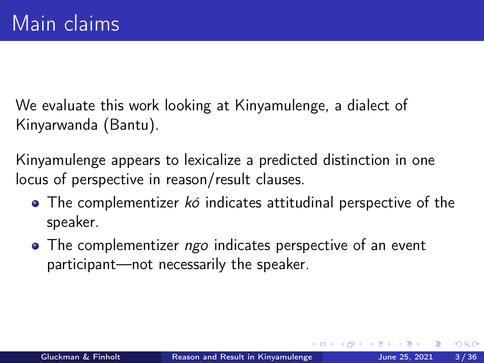We evaluate this work looking at Kinyamulenge, a dialect of Kinyarwanda (Bantu).

Kinyamulenge appears to lexicalize a predicted distinction in one locus of perspective in reason/result clauses.

- $\bullet$  The complementizer  $k\acute{o}$  indicates attitudinal perspective of the speaker.
- The complementizer ngo indicates perspective of an event participant—not necessarily the speaker.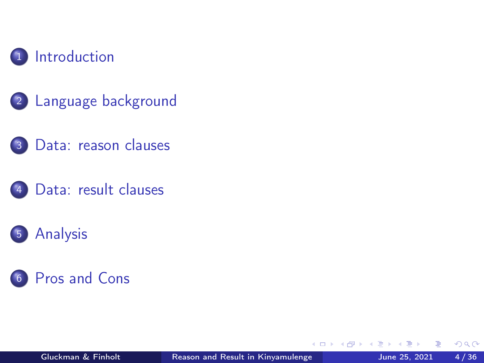

- <sup>2</sup> [Language background](#page-4-0)
- <sup>3</sup> [Data: reason clauses](#page-7-0)
- [Data: result clauses](#page-12-0)





€⊡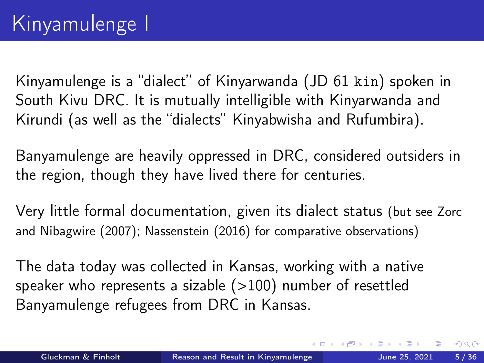<span id="page-4-0"></span>Kinyamulenge is a "dialect" of Kinyarwanda (JD 61 kin) spoken in South Kivu DRC. It is mutually intelligible with Kinyarwanda and Kirundi (as well as the "dialects" Kinyabwisha and Rufumbira).

Banyamulenge are heavily oppressed in DRC, considered outsiders in the region, though they have lived there for centuries.

Very little formal documentation, given its dialect status (but see [Zorc](#page-35-2) [and Nibagwire \(2007\)](#page-35-2); [Nassenstein \(2016\)](#page-35-3) for comparative observations)

The data today was collected in Kansas, working with a native speaker who represents a sizable  $(>100)$  number of resettled Banyamulenge refugees from DRC in Kansas.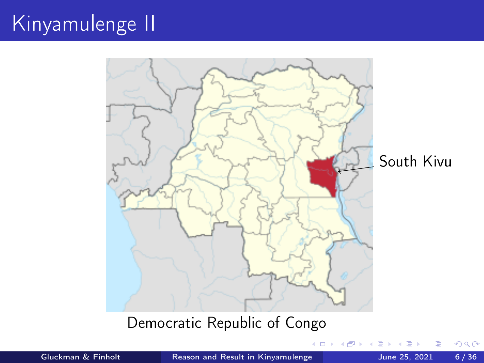# Kinyamulenge II



 $\Box$ 

#### Democratic Republic of Congo

Gluckman & Finholt **[Reason and Result in Kinyamulenge](#page-0-0)** June 25, 2021 6/36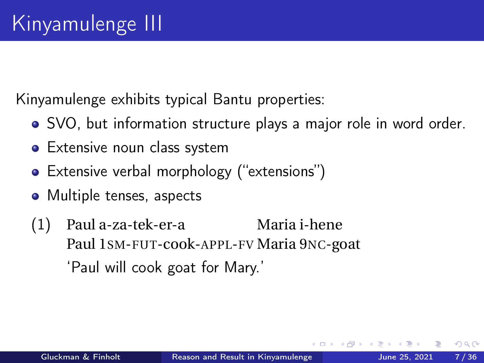Kinyamulenge exhibits typical Bantu properties:

- SVO, but information structure plays a major role in word order.
- Extensive noun class system
- Extensive verbal morphology ("extensions")
- Multiple tenses, aspects
- (1) Paul a-za-tek-er-a Paul 1SM-FUT-cook-APPL-FV Maria 9NC-goat Maria i-hene 'Paul will cook goat for Mary.'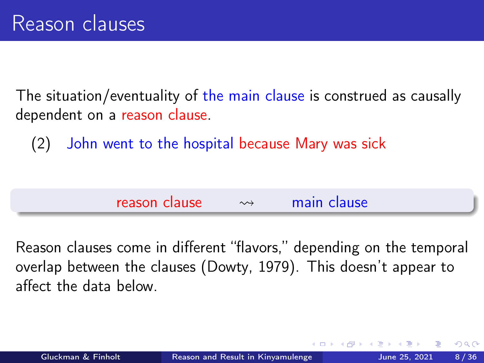<span id="page-7-0"></span>The situation/eventuality of the main clause is construed as causally dependent on a reason clause.

(2) John went to the hospital because Mary was sick

 $r$ eason clause  $\rightarrow$  main clause

Reason clauses come in different "flavors," depending on the temporal overlap between the clauses [\(Dowty, 1979\)](#page-34-2). This doesn't appear to affect the data below.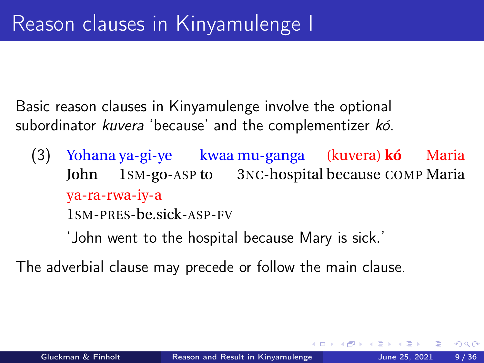Basic reason clauses in Kinyamulenge involve the optional subordinator kuvera 'because' and the complementizer kó.

(3) Yohana ya-gi-ye kwaa mu-ganga (kuvera) **kó** John 1SM-go-ASP to 3NC-hospital because COMP Maria Maria ya-ra-rwa-iy-a 1SM-PRES-be.sick-ASP-FV

'John went to the hospital because Mary is sick.'

The adverbial clause may precede or follow the main clause.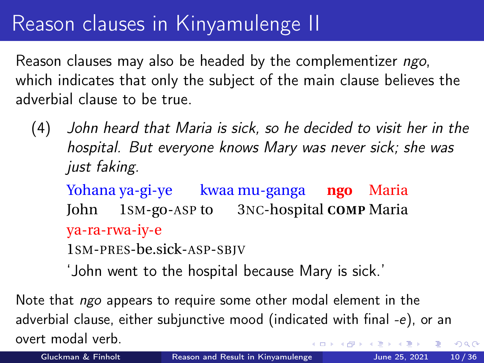## Reason clauses in Kinyamulenge II

Reason clauses may also be headed by the complementizer ngo, which indicates that only the subject of the main clause believes the adverbial clause to be true.

(4) John heard that Maria is sick, so he decided to visit her in the hospital. But everyone knows Mary was never sick; she was just faking.

Yohana ya-gi-ye kwaa mu-ganga **ngo** Maria John 1SM-go-ASP to 3NC-hospital **COMP** Maria ya-ra-rwa-iy-e 1SM-PRES-be.sick-ASP-SBJV

'John went to the hospital because Mary is sick.'

Note that *ngo* appears to require some other modal element in the adverbial clause, either subjunctive mood (indicated with final -e), or an overt modal verb.  $\Omega$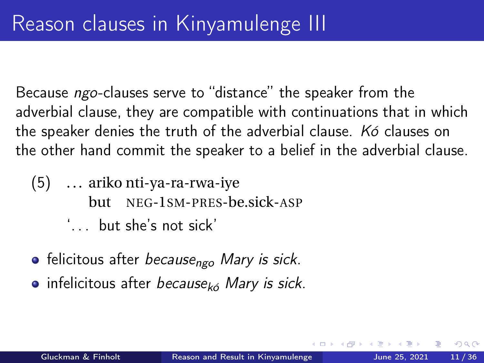Because ngo-clauses serve to "distance" the speaker from the adverbial clause, they are compatible with continuations that in which the speaker denies the truth of the adverbial clause. Kó clauses on the other hand commit the speaker to a belief in the adverbial clause.

- (5) . . . ariko nti-ya-ra-rwa-iye but NEG-1SM-PRES-be.sick-ASP ' but she's not sick'
- $\bullet$  felicitous after because<sub>ngo</sub> Mary is sick.
- $\bullet$  infelicitous after because<sub>kó</sub> Mary is sick.

つひひ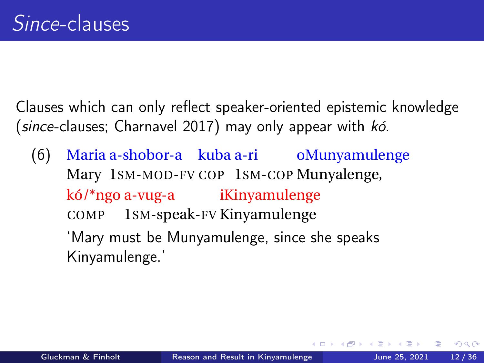Clauses which can only reflect speaker-oriented epistemic knowledge (since-clauses; [Charnavel 2017\)](#page-34-3) may only appear with kó.

(6) Maria a-shobor-a kuba a-ri oMunyamulenge Mary 1SM-MOD-FV COP 1SM-COP Munyalenge, kó/\*ngo a-vug-a iKinyamulenge COMP 1SM-speak-FV Kinyamulenge

'Mary must be Munyamulenge, since she speaks Kinyamulenge.'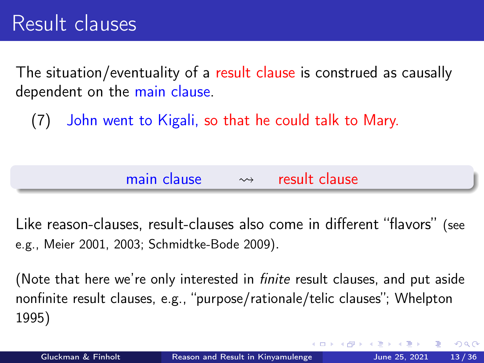<span id="page-12-0"></span>The situation/eventuality of a result clause is construed as causally dependent on the main clause.

(7) John went to Kigali, so that he could talk to Mary.

| main clause | $\rightsquigarrow$ | result clause |
|-------------|--------------------|---------------|
|             |                    |               |

Like reason-clauses, result-clauses also come in different "flavors" (see e.g., [Meier 2001,](#page-35-4) [2003;](#page-35-5) [Schmidtke-Bode 2009\)](#page-35-6).

(Note that here we're only interested in *finite* result clauses, and put aside nonfinite result clauses, e.g., "purpose/rationale/telic clauses"; [Whelpton](#page-35-7) [1995\)](#page-35-7)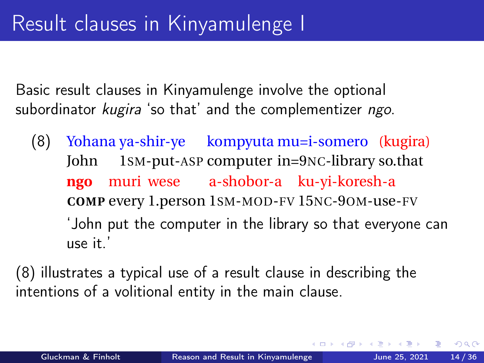Basic result clauses in Kinyamulenge involve the optional subordinator kugira 'so that' and the complementizer ngo.

<span id="page-13-0"></span>(8) Yohana ya-shir-ye kompyuta mu=i-somero (kugira) John 1SM-put-ASP computer in=9NC-library so.that **ngo COMP** every 1.person 1SM-MOD-FV 15NC-9OM-use-FV muri wese a-shobor-a ku-yi-koresh-a 'John put the computer in the library so that everyone can use it.'

[\(8\)](#page-13-0) illustrates a typical use of a result clause in describing the intentions of a volitional entity in the main clause.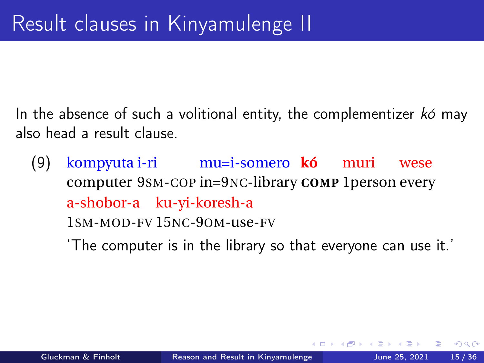In the absence of such a volitional entity, the complementizer  $k\acute{o}$  may also head a result clause.

- (9) kompyuta i-ri mu=i-somero **kó** muri computer 9SM-COP in=9NC-library **COMP** 1person every wese a-shobor-a ku-yi-koresh-a 1SM-MOD-FV 15NC-9OM-use-FV
	- 'The computer is in the library so that everyone can use it.'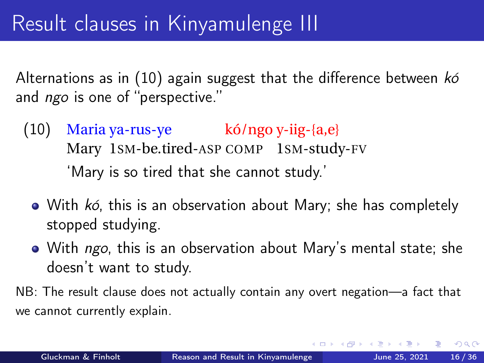Alternations as in  $(10)$  again suggest that the difference between  $k\acute{o}$ and *ngo* is one of "perspective."

- <span id="page-15-0"></span>(10) Maria ya-rus-ye kó/ngo y-iig-{a,e} Mary 1SM-be.tired-ASP COMP 1SM-study-FV 'Mary is so tired that she cannot study.'
	- With kó, this is an observation about Mary; she has completely stopped studying.
	- With ngo, this is an observation about Mary's mental state; she doesn't want to study.
- NB: The result clause does not actually contain any overt negation—a fact that we cannot currently explain.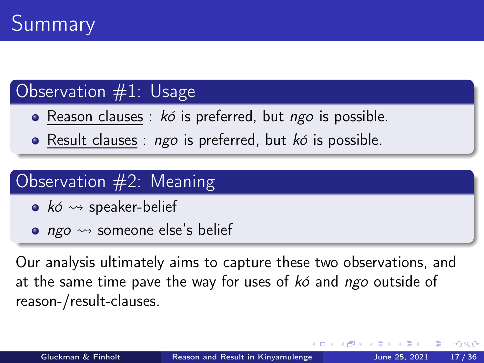### Observation #1: Usage

- Reason clauses :  $k\acute{o}$  is preferred, but  $ngo$  is possible.
- Result clauses :  $ngo$  is preferred, but  $k\acute{o}$  is possible.

## Observation #2: Meaning

- kó  $\rightsquigarrow$  speaker-belief
- ngo  $\rightsquigarrow$  someone else's belief

Our analysis ultimately aims to capture these two observations, and at the same time pave the way for uses of  $k\acute{o}$  and ngo outside of reason-/result-clauses.

つひひ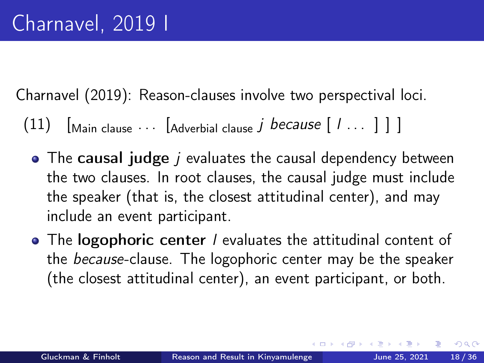<span id="page-17-0"></span>[Charnavel \(2019\)](#page-34-0): Reason-clauses involve two perspectival loci.

 $(11)$   $\left[\text{Main clause}\ \cdots\ \left[\text{Adverbial clause }j\ \text{because}\ \left[\ l\ \cdots\ \right]\ \right]\ \right]$ 

- $\bullet$  The causal judge *j* evaluates the causal dependency between the two clauses. In root clauses, the causal judge must include the speaker (that is, the closest attitudinal center), and may include an event participant.
- The logophoric center / evaluates the attitudinal content of the because-clause. The logophoric center may be the speaker (the closest attitudinal center), an event participant, or both.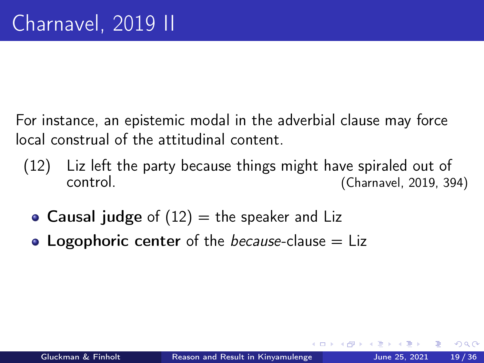For instance, an epistemic modal in the adverbial clause may force local construal of the attitudinal content.

- <span id="page-18-0"></span>(12) Liz left the party because things might have spiraled out of control. [\(Charnavel, 2019,](#page-34-0) 394)
	- Causal judge of  $(12)$  = the speaker and Liz
	- Logophoric center of the *because*-clause  $=$  Liz

つひひ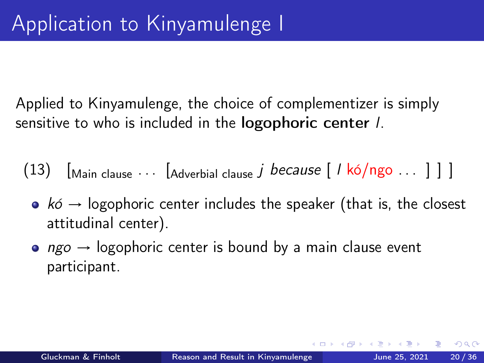Applied to Kinyamulenge, the choice of complementizer is simply sensitive to who is included in the **logophoric center** *l*.

- (13)  $\left[\begin{array}{ccc} \text{Main clause} & \dots & \text{[Adverbial clause } & j \text{ because } \end{array} \right]$  /  $\left[\begin{array}{ccc} \text{A}{d} & \text{I} \end{array} \right]$ 
	- $k\acute{o} \rightarrow$  logophoric center includes the speaker (that is, the closest attitudinal center).
	- $ngo \rightarrow logophoric center$  is bound by a main clause event participant.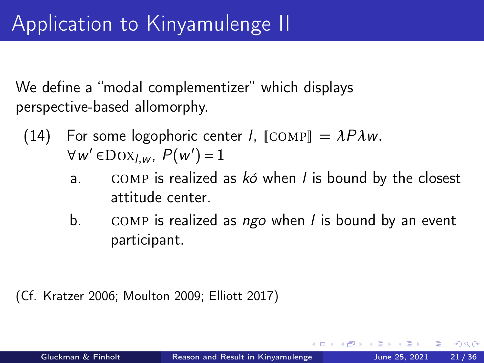We define a "modal complementizer" which displays perspective-based allomorphy.

- (14) For some logophoric center *l*,  $\text{[COMP]} = \lambda P \lambda w$ .  $\forall w' \in \text{Dox}_{l,w}, P(w') = 1$ 
	- a. COMP is realized as  $k\acute{o}$  when *l* is bound by the closest attitude center.
	- b. COMP is realized as  $ngo$  when l is bound by an event participant.

(Cf. [Kratzer 2006;](#page-34-4) [Moulton 2009;](#page-35-8) [Elliott 2017\)](#page-34-5)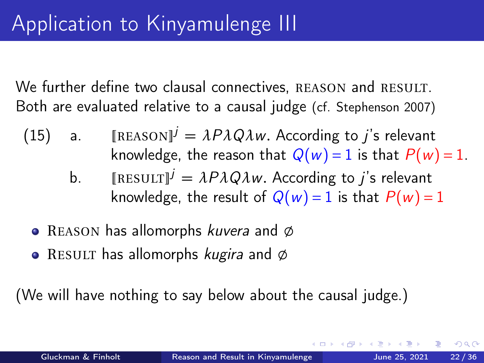We further define two clausal connectives, REASON and RESULT. Both are evaluated relative to a causal judge (cf. [Stephenson 2007\)](#page-35-1)

- (15) a. [REASON]<sup> $j = \lambda P \lambda Q \lambda w$ . According to j's relevant</sup> knowledge, the reason that  $Q(w) = 1$  is that  $P(w) = 1$ .
	- b.  $[{\tt \begin{bmatrix} \mathbb{R} & \mathbb{R} & \mathbb{R} & \mathbb{R} \end{bmatrix}}^j = \lambda P \lambda Q \lambda w$ . According to *j*'s relevant knowledge, the result of  $Q(w) = 1$  is that  $P(w) = 1$
	- REASON has allomorphs *kuvera* and  $\varphi$
	- RESULT has allomorphs *kugira* and  $\emptyset$

(We will have nothing to say below about the causal judge.)

つひひ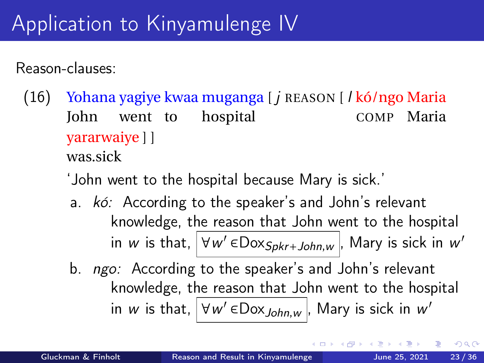# Application to Kinyamulenge IV

Reason-clauses:

- (16) Yohana yagiye kwaa muganga [ j REASON [ l kó/ngo Maria John went to hospital COMP Maria yararwaiye ] ] was.sick
	- 'John went to the hospital because Mary is sick.'
	- a. kó: According to the speaker's and John's relevant knowledge, the reason that John went to the hospital in  $w$  is that,  $\boxed{\forall w' \in \textsf{Dox}_{Spkr + John, w}}$ , Mary is sick in  $w'$
	- b. *ngo:* According to the speaker's and John's relevant knowledge, the reason that John went to the hospital in  $w$  is that,  $\boxed{\forall w' \in \text{Dox}_{John,w}}$ , Mary is sick in  $w'$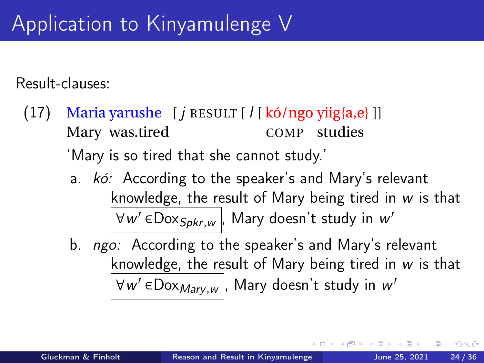Result-clauses:

- (17) Maria yarushe [*j* RESULT [*l* [kó/ngo yiig{a,e}]] Mary was.tired COMP studies 'Mary is so tired that she cannot study.'
	- a. kó: According to the speaker's and Mary's relevant knowledge, the result of Mary being tired in  $w$  is that  $\overline{\forall w' \in}$ Dox $_{Spkr,w}$ , Mary doesn't study in  $w'$
	- b. *ngo:* According to the speaker's and Mary's relevant knowledge, the result of Mary being tired in w is that  $\overline{\forall w' \in}$ Dox $_{Mary,w}$ , Mary doesn't study in  $w'$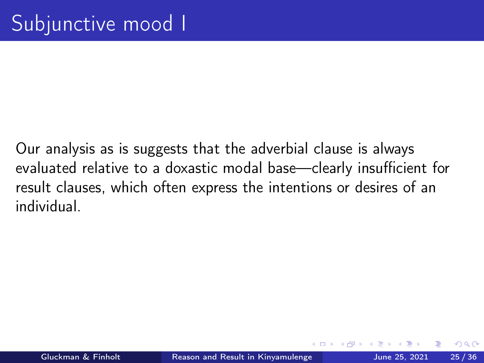Our analysis as is suggests that the adverbial clause is always evaluated relative to a doxastic modal base—clearly insufficient for result clauses, which often express the intentions or desires of an individual.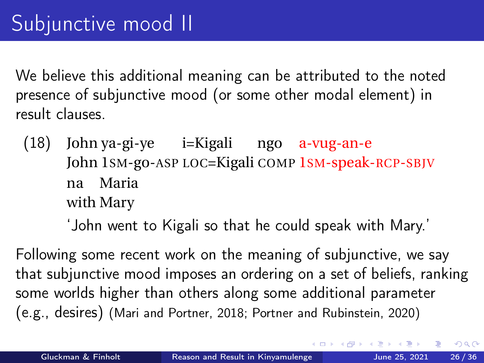We believe this additional meaning can be attributed to the noted presence of subjunctive mood (or some other modal element) in result clauses.

(18) John ya-gi-ye i=Kigali ngo a-vug-an-e John 1SM-go-ASP LOC=Kigali COMP 1SM-speak-RCP-SBJV na Maria with Mary

'John went to Kigali so that he could speak with Mary.'

Following some recent work on the meaning of subjunctive, we say that subjunctive mood imposes an ordering on a set of beliefs, ranking some worlds higher than others along some additional parameter (e.g., desires) [\(Mari and Portner, 2018;](#page-34-6) [Portner and Rubinstein, 2020\)](#page-35-9)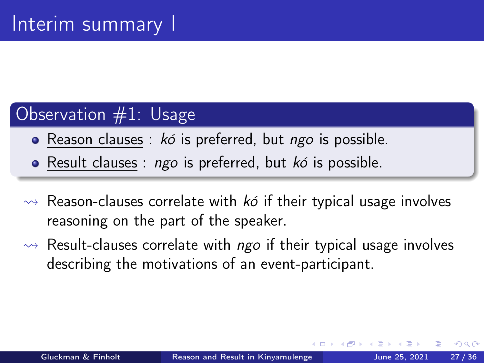## Observation #1: Usage

- Reason clauses :  $k\acute{o}$  is preferred, but ngo is possible.
- Result clauses :  $ngo$  is preferred, but  $k\acute{o}$  is possible.
- $\rightarrow$  Reason-clauses correlate with ko if their typical usage involves reasoning on the part of the speaker.
- $\rightarrow$  Result-clauses correlate with ngo if their typical usage involves describing the motivations of an event-participant.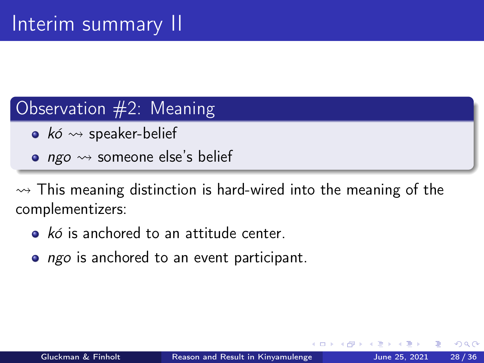### Observation #2: Meaning

- $k\acute{o} \rightsquigarrow$  speaker-belief
- *ngo*  $\rightsquigarrow$  someone else's belief

 $\rightarrow$  This meaning distinction is hard-wired into the meaning of the complementizers:

- $\bullet$  kó is anchored to an attitude center.
- ngo is anchored to an event participant.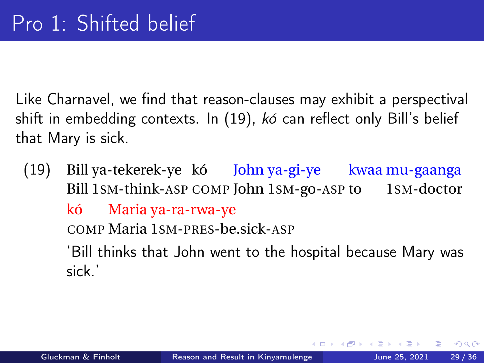<span id="page-28-0"></span>Like Charnavel, we find that reason-clauses may exhibit a perspectival shift in embedding contexts. In [\(19\)](#page-28-1), kó can reflect only Bill's belief that Mary is sick.

<span id="page-28-1"></span> $(19)$ Bill 1sm-think-ASP COMP John 1sm-go-ASP to 1sm-doctor ya-tekerek-ye kó John-ya-gi-ye kwaa mu-gaanga kó COMP Maria 1SM-PRES-be.sick-ASP Maria ya-ra-rwa-ye 'Bill thinks that John went to the hospital because Mary was sick.'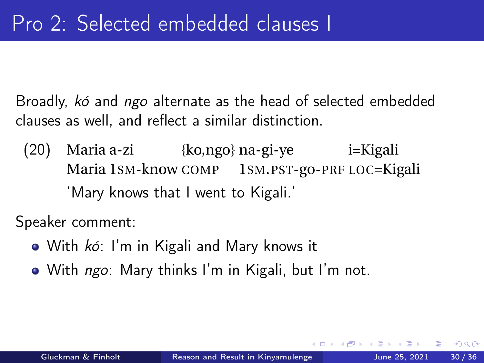Broadly, kó and ngo alternate as the head of selected embedded clauses as well, and reflect a similar distinction.

(20) Maria a-zi {ko,ngo} na-gi-ye i=Kigali Maria 1SM-know COMP 1SM.PST-go-PRF LOC=Kigali 'Mary knows that I went to Kigali.'

Speaker comment:

- With  $k6$ : I'm in Kigali and Mary knows it
- With *ngo*: Mary thinks I'm in Kigali, but I'm not.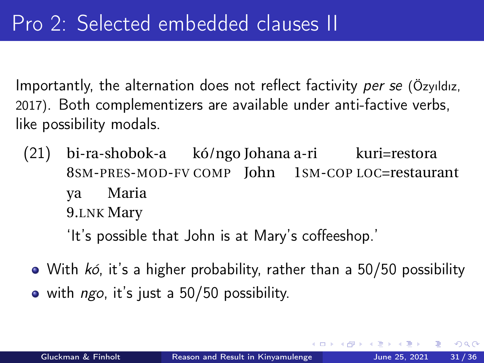Importantly, the alternation does not reflect factivity per se [\(Özyıldız,](#page-35-10) [2017\)](#page-35-10). Both complementizers are available under anti-factive verbs, like possibility modals.

(21) bi-ra-shobok-a kó/ngo Johana a-ri kuri=restora 8SM-PRES-MOD-FV COMP John 1SM-COP LOC=restaurant ya 9.LNK Mary Maria

'It's possible that John is at Mary's coffeeshop.'

- With kó, it's a higher probability, rather than a 50/50 possibility
- $\bullet$  with *ngo*, it's just a 50/50 possibility.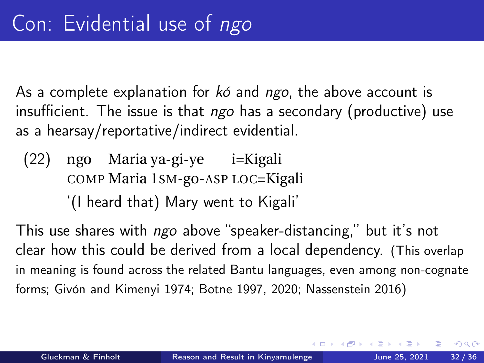As a complete explanation for  $k\acute{o}$  and ngo, the above account is insufficient. The issue is that  $ngo$  has a secondary (productive) use as a hearsay/reportative/indirect evidential.

- $(22)$ COMP Maria 1SM-go-ASP LOC=Kigali Maria ya-gi-ye i=Kigali
	- '(I heard that) Mary went to Kigali'

This use shares with *ngo* above "speaker-distancing," but it's not clear how this could be derived from a local dependency. (This overlap in meaning is found across the related Bantu languages, even among non-cognate forms; [Givón and Kimenyi 1974;](#page-34-7) [Botne 1997,](#page-34-8) [2020;](#page-34-9) [Nassenstein 2016\)](#page-35-3)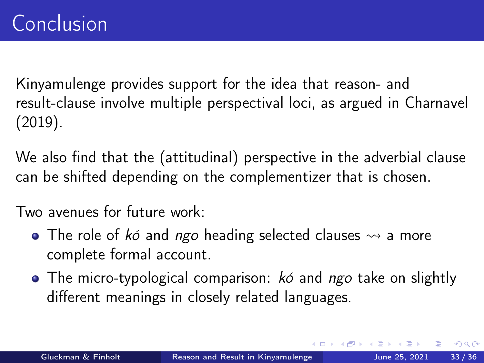Kinyamulenge provides support for the idea that reason- and result-clause involve multiple perspectival loci, as argued in [Charnavel](#page-34-0) [\(2019\)](#page-34-0).

We also find that the (attitudinal) perspective in the adverbial clause can be shifted depending on the complementizer that is chosen.

Two avenues for future work:

- The role of kó and ngo heading selected clauses  $\rightsquigarrow$  a more complete formal account.
- $\bullet$  The micro-typological comparison:  $k\acute{o}$  and ngo take on slightly different meanings in closely related languages.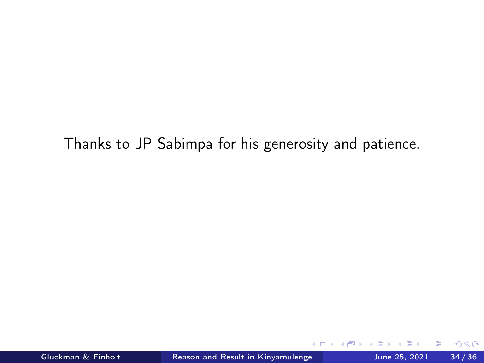Thanks to JP Sabimpa for his generosity and patience.

4 0 3

 $QQ$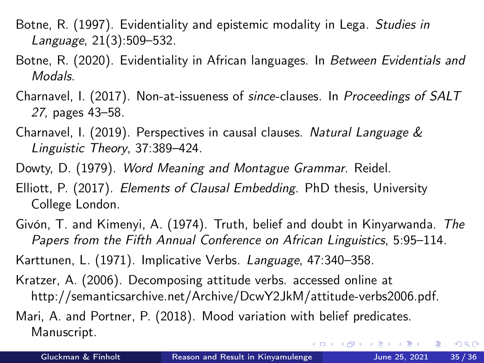- <span id="page-34-8"></span>Botne, R. (1997). Evidentiality and epistemic modality in Lega. Studies in Language, 21(3):509–532.
- <span id="page-34-9"></span>Botne, R. (2020). Evidentiality in African languages. In Between Evidentials and Modals.
- <span id="page-34-3"></span>Charnavel, I. (2017). Non-at-issueness of since-clauses. In Proceedings of SALT 27, pages 43–58.
- <span id="page-34-0"></span>Charnavel, I. (2019). Perspectives in causal clauses. Natural Language & Linguistic Theory, 37:389–424.
- <span id="page-34-2"></span>Dowty, D. (1979). Word Meaning and Montague Grammar. Reidel.
- <span id="page-34-5"></span>Elliott, P. (2017). Elements of Clausal Embedding. PhD thesis, University College London.
- <span id="page-34-7"></span>Givón, T. and Kimenyi, A. (1974). Truth, belief and doubt in Kinyarwanda. The Papers from the Fifth Annual Conference on African Linguistics, 5:95–114.
- <span id="page-34-1"></span>Karttunen, L. (1971). Implicative Verbs. Language, 47:340–358.
- <span id="page-34-4"></span>Kratzer, A. (2006). Decomposing attitude verbs. accessed online at http://semanticsarchive.net/Archive/DcwY2JkM/attitude-verbs2006.pdf.

<span id="page-34-6"></span>Mari, A. and Portner, P. (2018). Mood variation with belief predicates. Manuscript.

G.

イロト イ押ト イヨト イヨトー

 $QQ$